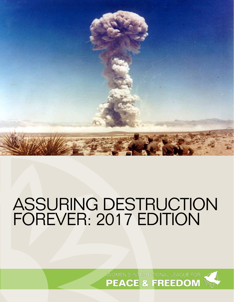

# ASSURING DESTRUCTION FOREVER: 2017 EDITION

WOMEN'S INTERNATIONAL LEAGUE FOR **PEACE & FREEDOM** 

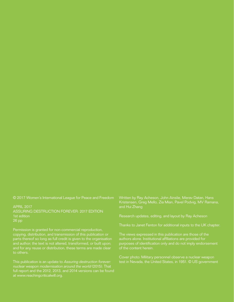© 2017 Women's International League for Peace and Freedom

APRIL 2017 ASSURING DESTRUCTION FOREVER: 2017 EDITION 1st edition 26 pp

Permission is granted for non-commercial reproduction, copying, distribution, and transmission of this publication or parts thereof so long as full credit is given to the organisation and author; the text is not altered, transformed, or built upon; and for any reuse or distribution, these terms are made clear to others.

This publication is an update to Assuring destruction forever: nuclear weapon modernisation around the world (2015). That full report and the 2012, 2013, and 2014 versions can be found at www.reachingcriticalwill.org.

Written by Ray Acheson, John Ainslie, Merav Datan, Hans Kristensen, Greg Mello, Zia Mian, Pavel Podvig, MV Ramana, and Hui Zhang

Research updates, editing, and layout by Ray Acheson

Thanks to Janet Fenton for additional inputs to the UK chapter.

The views expressed in this publication are those of the authors alone. Institutional affiliations are provided for purposes of identification only and do not imply endorsement of the content herein.

Cover photo: Military personnel observe a nuclear weapon test in Nevada, the United States, in 1951. © US government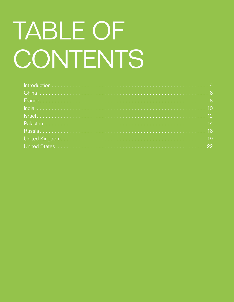# TABLE OF CONTENTS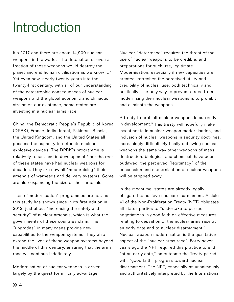# Introduction

It's 2017 and there are about 14,900 nuclear weapons in the world.<sup>2</sup> The detonation of even a fraction of these weapons would destroy the planet and end human civilisation as we know it.<sup>3</sup> Yet even now, nearly twenty years into the twenty-first century, with all of our understanding of the catastrophic consequences of nuclear weapons and the global economic and climactic strains on our existence, some states are investing in a nuclear arms race.

China, the Democratic People's Republic of Korea (DPRK), France, India, Israel, Pakistan, Russia, the United Kingdom, and the United States all possess the capacity to detonate nuclear explosive devices. The DPRK's programme is relatively recent and in development,<sup>4</sup> but the rest of these states have had nuclear weapons for decades. They are now all "modernising" their arsenals of warheads and delivery systems. Some are also expanding the size of their arsenals.

These "modernisation" programmes are not, as this study has shown since in its first edition in 2012, just about "increasing the safety and security" of nuclear arsenals, which is what the governments of these countries claim. The "upgrades" in many cases provide new capabilities to the weapon systems. They also extend the lives of these weapon systems beyond the middle of this century, ensuring that the arms race will continue indefinitely.

Modernisation of nuclear weapons is driven largely by the quest for military advantage.

Nuclear "deterrence" requires the threat of the use of nuclear weapons to be credible, and preparations for such use, legitimate. Modernisation, especially if new capacities are created, refreshes the perceived utility and credibility of nuclear use, both technically and politically. The only way to prevent states from modernising their nuclear weapons is to prohibit and eliminate the weapons.

A treaty to prohibit nuclear weapons is currently in development.<sup>5</sup> This treaty will hopefully make investments in nuclear weapon modernisation, and inclusion of nuclear weapons in security doctrines, increasingly difficult. By finally outlawing nuclear weapons the same way other weapons of mass destruction, biological and chemical, have been outlawed, the perceived "legitimacy" of the possession and modernisation of nuclear weapons will be stripped away.

In the meantime, states are already legally obligated to achieve nuclear disarmament. Article VI of the Non-Proliferation Treaty (NPT) obligates all states parties to "undertake to pursue negotiations in good faith on effective measures relating to cessation of the nuclear arms race at an early date and to nuclear disarmament." Nuclear weapon modernisation is the qualitative aspect of the "nuclear arms race". Forty-seven years ago the NPT required this practice to end "at an early date," an outcome the Treaty paired with "good faith" progress toward nuclear disarmament. The NPT, especially as unanimously and authoritatively interpreted by the International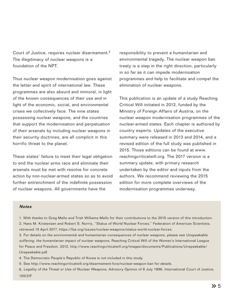Court of Justice, requires nuclear disarmament.6 The illegitimacy of nuclear weapons is a foundation of the NPT.

Thus nuclear weapon modernisation goes against the letter and spirit of international law. These programmes are also absurd and immoral, in light of the known consequences of their use and in light of the economic, social, and environmental crises we collectively face. The nine states possessing nuclear weapons, and the countries that support the modernisation and perpetuation of their arsenals by including nuclear weapons in their security doctrines, are all complicit in this horrific threat to the planet.

These states' failure to meet their legal obligation to end the nuclear arms race and eliminate their arsenals must be met with resolve for concrete action by non-nuclear-armed states so as to avoid further entrenchment of the indefinite possession of nuclear weapons. All governments have the

responsibility to prevent a humanitarian and environmental tragedy. The nuclear weapon ban treaty is a step in the right direction, particularly in so far as it can impede modernisation programmes and help to facilitate and compel the elimination of nuclear weapons.

This publication is an update of a study Reaching Critical Will initiated in 2012, funded by the Ministry of Foreign Affairs of Austria, on the nuclear weapon modernisation programmes of the nuclear-armed states. Each chapter is authored by country experts. Updates of the executive summary were released in 2013 and 2014, and a revised edition of the full study was published in 2015. Those editions can be found at www. reachingcriticalwill.org. The 2017 version is a summary update, with primary research undertaken by the editor and inputs from the authors. We recommend reviewing the 2015 edition for more complete overviews of the modernisation programmes underway.

#### **Notes**

1. With thanks to Greg Mello and Trish Williams-Mello for their contributions to the 2015 version of this introduction. 2. Hans M. Kristensen and Robert S. Norris, "Status of World Nuclear Forces," Federation of American Scientists, retrieved 15 April 2017, https://fas.org/issues/nuclear-weapons/status-world-nuclear-forces.

3. For details on the environmental and humanitarian consequences of nuclear weapons, please see Unspeakable suffering: the humanitarian impact of nuclear weapons, Reaching Critical Will of the Women's International League for Peace and Freedom, 2012, http://www.reachingcriticalwill.org/images/documents/Publications/Unspeakable/ Unspeakable.pdf.

4. The Democratic People's Republic of Korea is not included in this study.

- 5. See http://www.reachingcriticalwill.org/disarmament-fora/nuclear-weapon-ban for details.
- 6. Legality of the Threat or Use of Nuclear Weapons, Advisory Opinion of 8 July 1996, International Court of Justice, 105(2)F.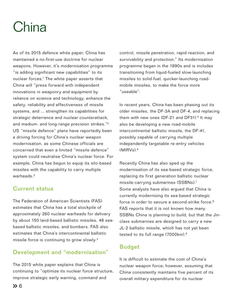# China

As of its 2015 defence white paper, China has maintained a no-first-use doctrine for nuclear weapons. However, it's modernisation programme "is adding significant new capabilities" to its nuclear forces.<sup>1</sup> The white paper asserts that China will "press forward with independent innovations in weaponry and equipment by reliance on science and technology, enhance the safety, reliability and effectiveness of missile systems, and ... strengthen its capabilities for strategic deterrence and nuclear counterattack, and medium- and long-range precision strikes."<sup>2</sup> US "missile defence" plans have reportedly been a driving forcing for China's nuclear weapon modernisation, as some Chinese officials are concerned that even a limited "missile defence" system could neutralise China's nuclear force. For example, China has begun to equip its silo-based missiles with the capability to carry multiple warheads.3

### Current status

The Federation of American Scientists (FAS) estimates that China has a total stockpile of approximately 260 nuclear warheads for delivery by about 150 land-based ballistic missiles, 48 seabased ballistic missiles, and bombers. FAS also estimates that China's intercontinental ballistic missile force is continuing to grow slowly.4

### Development and "modernisation"

The 2015 white paper explains that China is continuing to "optimize its nuclear force structure, improve strategic early warning, command and

control, missile penetration, rapid reaction, and survivability and protection." Its modernisation programme began in the 1990s and is includes transitioning from liquid-fueled slow-launching missiles to solid-fuel, quicker-launching roadmobile missiles, to make the force more "useable".

In recent years, China has been phasing out its older missiles, the DF-3A and DF-4, and replacing them with new ones  $(DF-21)$  and  $DF31$ ).<sup>5</sup> It may also be developing a new road-mobile intercontinental ballistic missile, the DF-41, possibly capable of carrying multiple independently targetable re-entry vehicles  $(MIRVs)<sup>6</sup>$ 

Recently China has also sped up the modernisation of its sea-based strategic force, replacing its first generation ballistic nuclear missile-carrying submarines (SSBNs).7 Some analysts have also argued that China is currently modernising its sea-based strategic force in order to secure a second-strike force.<sup>8</sup> FAS reports that it is not known how many SSBNs China is planning to build, but that the Jinclass submarines are designed to carry a new JL-2 ballistic missile, which has not yet been tested to its full range (7000km).9

### Budget

It is difficult to estimate the cost of China's nuclear weapon force; however, assuming that China consistently maintains five percent of its overall military expenditure for its nuclear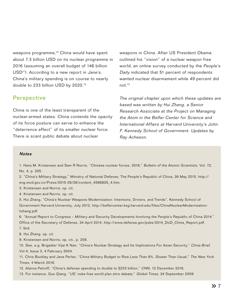weapons programme,<sup>10</sup> China would have spent about 7.3 billion USD on its nuclear programme in 2016 (assuming an overall budget of 146 billion USD<sup>11</sup>). According to a new report in *Jane's*, China's military spending is on course to nearly double to 233 billion USD by 2020.12

### **Perspective**

China is one of the least transparent of the nuclear-armed states. China contends the opacity of its force posture can serve to enhance the "deterrence effect" of its smaller nuclear force. There is scant public debate about nuclear

weapons in China. After US President Obama outlined his "vision" of a nuclear weapon free world, an online survey conducted by the People's Daily indicated that 51 percent of respondents wanted nuclear disarmament while 49 percent did not.13

The original chapter upon which these updates are based was written by Hui Zhang, a Senior Research Associate at the Project on Managing the Atom in the Belfer Center for Science and International Affairs at Harvard University's John F. Kennedy School of Government. Updates by Ray Acheson.

#### **Notes**

1. Hans M. Kristensen and Sam R Norris, "Chinese nuclear forces, 2016," Bulletin of the Atomic Scientists, Vol. 72, No. 4, p. 205.

2. "China's Military Strategy," Ministry of National Defense, The People's Republic of China, 26 May 2015, http:// eng.mod.gov.cn/Press/2015-05/26/content\_4586805\_4.htm.

3. Kristensen and Norris, op. cit.

4. Kristensen and Norris, op. cit.

5. Hui Zhang, "China's Nuclear Weapons Modernization: Intentions, Drivers, and Trends", Kennedy School of Government Harvard University, July 2012, http://belfercenter.ksg.harvard.edu/files/ChinaNuclearModernizationhzhang.pdf.

6. "Annual Report to Congress – Military and Security Developments Involving the People's Republic of China 2014," Office of the Secretary of Defense, 24 April 2014, http://www.defense.gov/pubs/2014\_DoD\_China\_Report.pdf. 7. Ibid.

8. Hui Zhang, op. cit.

9. Kristensen and Norris, op. cit., p. 208.

10. See, e.g. Brigadier Vijai K Nair, "China's Nuclear Strategy and Its Implications For Asian Security," China Brief, Vol 4, Issue 3, 4 February 2004.

11. Chris Buckley and Jane Perlez, "China Military Budget to Rise Less Than 8%, Slower Than Usual," The New York Times, 4 March 2016.

12. Alanna Petroff, "China's defense spending to double to \$233 billion," CNN, 12 December 2016.

13. For instance, Guo Qiang, "US' nuke-free world plan stirs debate," Global Times, 24 September 2009.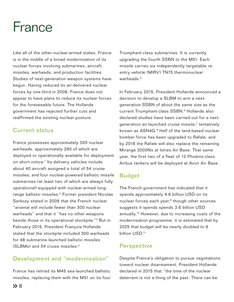# France

Like all of the other nuclear-armed states, France is in the middle of a broad modernisation of its nuclear forces involving submarines, aircraft, missiles, warheads, and production facilities. Studies of next-generation weapon systems have begun. Having reduced its air-delivered nuclear forces by one-third in 2008, France does not appear to have plans to reduce its nuclear forces for the foreseeable future. The Hollande government has rejected further cuts and reaffirmed the existing nuclear posture.

### Current status

France possesses approximately 300 nuclear warheads, approximately 290 of which are deployed or operationally available for deployment on short notice.<sup>1</sup> Its delivery vehicles include about 40 aircraft assigned a total of 54 cruise missiles; and four nuclear-powered ballistic missile submarines (at least two of which are always fully operational) equipped with nuclear-armed longrange ballistic missiles.<sup>2</sup> Former president Nicolas Sarkozy stated in 2008 that the French nuclear "arsenal will include fewer than 300 nuclear warheads" and that it "has no other weapons beside those in its operational stockpile."3 But in February 2015, President François Hollande stated that the stockpile included 300 warheads for 48 submarine-launched ballistic missiles (SLBMs) and 54 cruise missiles.4

### Development and "modernisation"

France has retired its M45 sea-launched ballistic missiles, replacing them with the M51 on its four Triumphant-class submarines. It is currently upgrading the fourth SSBN to the M51. Each missile carries six independently targetable reentry vehicle (MIRV) TN75 thermonuclear warheads.<sup>5</sup>

In February 2015, President Hollande announced a decision to develop a SLBM to arm a nextgeneration SSBN of about the same size as the current Triumphant-class SSBN.<sup>6</sup> Hollande also declared studies have been carried out for a nextgeneration air-launched cruise missile,<sup>7</sup> tentatively known as ASN4G.<sup>8</sup> Half of the land-based nuclear bomber force has been upgraded to Rafale, and by 2018 the Rafale will also replace the remaining Mirange 2000Ns at Istres Air Base. That same year, the first two of a fleet of 12 Phoénix-class Airbus tankers will be deployed at Avon Air Base.

### Budget

The French government has indicated that it spends approximately 4.6 billion USD on its nuclear forces each year,<sup>9</sup> though other sources suggests it spends spends 3.6 billion USD annually.10 However, due to increasing costs of the modernisation programme, it is estimated that by 2025 that budget will be nearly doubled to 6 billion USD.<sup>11</sup>

### **Perspective**

Despite France's obligation to pursue negotiations toward nuclear disarmament, President Hollande declared in 2015 that "the time of the nuclear deterrent is not a thing of the past. There can be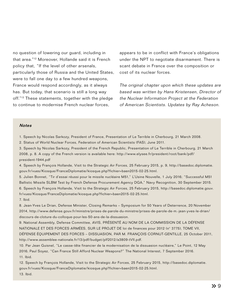no question of lowering our guard, including in that area."12 Moreover, Hollande said it is French policy that, "If the level of other arsenals, particularly those of Russia and the United States, were to fall one day to a few hundred weapons, France would respond accordingly, as it always has. But today, that scenario is still a long way off."13 These statements, together with the pledge to continue to modernise French nuclear forces,

appears to be in conflict with France's obligations under the NPT to negotiate disarmament. There is scant debate in France over the composition or cost of its nuclear forces.

The original chapter upon which these updates are based was written by Hans Kristensen, Director of the Nuclear Information Project at the Federation of American Scientists. Updates by Ray Acheson.

#### **Notes**

1. Speech by Nicolas Sarkozy, President of France, Presentation of Le Terrible in Cherbourg, 21 March 2008.

2. Status of World Nuclear Forces, Federation of American Scientists (FAS), June 2011.

3. Speech by Nicolas Sarkozy, President of the French Republic, Presentation of Le Terrible in Cherbourg, 21 March 2008, p. 8. A copy of the French version is available here: http://www.elysee.fr/president/root/bank/pdf/ president-1944.pdf

4. Speech by François Hollande, Visit to the Strategic Air Forces, 25 February 2015, p. 9, http://basedoc.diplomatie. gouv.fr/vues/Kiosque/FranceDiplomatie/kiosque.php?fichier=baen2015-02-25.html.

5. Julien Bonnet, "Tir d'essai réussi pour le missile nucléaire M51," L'Usine Nouvelle, 1 July 2016; "Successful M51 Ballistic Missile SLBM Test by French Defense Procurement Agency DGA," Navy Recognition, 30 September 2015. 6. Speech by François Hollande, Visit to the Strategic Air Forces, 25 February 2015, http://basedoc.diplomatie.gouv. fr/vues/Kiosque/FranceDiplomatie/kiosque.php?fichier=baen2015-02-25.html.

7. Ibid.

8. Jean-Yves Le Drian, Defense Minister, Closing Remarks – Symposium for 50 Years of Deterrence, 20 November 2014, http://www.defense.gouv.fr/ministre/prises-de-parole-du-ministre/prises-de-parole-de-m.-jean-yves-le-drian/ discours-de-cloture-du-colloque-pour-les-50-ans-de-la-dissuasion.

9. National Assembly, Defense Committee, AVIS, PRÉSENTÉ AU NOM DE LA COMMISSION DE LA DÉFENSE NATIONALE ET DES FORCES ARMÉES, SUR LE PROJET DE loi de finances pour 2012 (n° 3775), TOME VII, DÉFENSE ÉQUIPEMENT DES FORCES – DISSUASION, PAR M. FRANÇOIS CORNUT-GENTILLE, 25 October 2011, http://www.assemblee-nationale.fr/13/pdf/budget/plf2012/a3809-tVII.pdf.

10. Par Jean Guisnel, "Le casse-tête financier de la modernisation de la dissuasion nucléaire," Le Point, 12 May 2016; Paul Soyez, "Can France Still Afford Nuclear Weapons?" The National Interest, 7 September 2016. 11. Ibid.

12. Speech by François Hollande, Visit to the Strategic Air Forces, 25 February 2015, http://basedoc.diplomatie. gouv.fr/vues/Kiosque/FranceDiplomatie/kiosque.php?fichier=baen2015-02-25.html. 13. Ibid.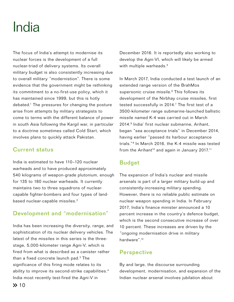# India

The focus of India's attempt to modernise its nuclear forces is the development of a full nuclear-triad of delivery systems. Its overall military budget is also consistently increasing due to overall military "modernistion". There is some evidence that the government might be rethinking its commitment to a no-first-use policy, which it has maintained since 1999, but this is hotly debated.<sup>1</sup> The pressures for changing the posture arise from attempts by military strategists to come to terms with the different balance of power in south Asia following the Kargil war, in particular to a doctrine sometimes called Cold Start, which involves plans to quickly attack Pakistan.

### Current status

India is estimated to have 110–120 nuclear warheads and to have produced approximately 540 kilograms of weapon-grade plutonium, enough for 135 to 180 nuclear warheads. It currently maintains two to three squadrons of nuclearcapable fighter-bombers and four types of landbased nuclear-capable missiles.<sup>2</sup>

### Development and "modernisation"

India has been increasing the diversity, range, and sophistication of its nuclear delivery vehicles. The latest of the missiles in this series is the threestage, 5,000-kilometer range Agni-V, which is fired from what is described as a canister rather than a fixed concrete launch pad.3 The significance of this firing mode relates to its ability to improve its second-strike capabilities.<sup>4</sup> India most recently test-fired the Agni-V in

December 2016. It is reportedly also working to develop the Agni-VI, which will likely be armed with multiple warheads.<sup>5</sup>

In March 2017, India conducted a test launch of an extended range version of the BrahMos supersonic cruise missile.<sup>6</sup> This follows its development of the Nirbhay cruise missiles, first tested successfully in 2014.<sup>7</sup> The first test of a 3500-kilometer range submarine-launched ballistic missile named K-4 was carried out in March 2014.8 India' first nuclear submarine, Arihant, began "sea acceptance trials" in December 2014, having earlier "passed its harbour acceptance trials."9 In March 2016, the K-4 missile was tested from the Arihant<sup>10</sup> and again in January 2017.<sup>11</sup>

### Budget

The expansion of India's nuclear and missile arsenals is part of a larger military build-up and consistently-increasing military spending. However, there is no reliable public estimate on nuclear weapon spending in India. In February 2017, India's finance minister announced a 10 percent increase in the country's defence budget, which is the second consecutive increase of over 10 percent. These increases are driven by the "ongoing modernisation drive in military hardware".12

### **Perspective**

By and large, the discourse surrounding development, modernisation, and expansion of the Indian nuclear arsenal involves jubilation about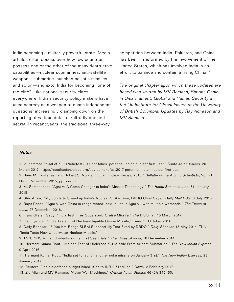India becoming a militarily powerful state. Media articles often obsess over how few countries possess one or the other of the many destructive capabilities—nuclear submarines, anti-satellite weapons, submarine-launched ballistic missiles, and so on—and extol India for becoming "one of the elite". Like national security elites everywhere, Indian security policy makers have used secrecy as a weapon to quash independent questions, increasingly clamping down on the reporting of various details arbitrarily deemed secret. In recent years, the traditional three-way

competition between India, Pakistan, and China has been transformed by the involvement of the United States, which has involved India in an effort to balance and contain a rising China.<sup>13</sup>

The original chapter upon which these updates are based was written by MV Ramana, Simons Chair in Disarmament, Global and Human Security at the Liu Institute for Global Issues at the University of British Columbia. Updates by Ray Acheson and MV Ramana.

#### **Notes**

1. Muhammad Faisal et al, "#Nukefest2017 hot takes: potential Indian nuclear first use?" South Asian Voices, 20 March 2017, https://southasianvoices.org/sav-dc-nukefest2017-potential-indian-nuclear-first-use.

2. Hans M. Kristensen and Robert S. Norris, "Indian nuclear forces, 2015," Bulletin of the Atomic Scientists, Vol. 71, No. 5, November 2015, pp. 77–83.

3. M. Somasekhar, "Agni-V: A Game Changer in India's Missile Technology," The Hindu Business Line, 31 January 2015.

4. Shiv Aroor, "My Job Is to Speed up India's Nuclear Strike Time, DRDO Chief Says," Daily Mail India, 3 July 2013. 5. Rajat Pandit, "Agni-V with China in range tested; next in line is Agni-VI, with multiple warheads," The Times of India, 27 December 2016.

6. Franz-Stefan Gady, "India Test Fires Supersonic Cruise Missile," The Diplomat, 15 March 2017.

7. Rishi Iyengar, "India Tests First Nuclear-Capable Cruise Missile," Time, 17 October 2014.

8. Daily Bhaskar, "3,000 Km-Range SLBM Successfully Test-Fired by DRDO," Daily Bhaskar, 13 May 2014; TNN, "India Tests New Underwater Nuclear Missile."

9. TNN, "INS Arihant Embarks on Its First Sea Trials," The Times of India, 16 December 2014.

10. Hermant Kumar Rout, "Maiden Test of Undersea K-4 Missile From Arihant Submarine," The New Indian Express, 9 April 2016.

11. Hermant Kumar Rout, "India set to launch another nuke missile on January 31st," The New Indian Express, 23 January 2017.

12. Reuters, "India's defence budget hiked 10pc to INR 2.74 trillion," Dawn, 2 February 2017.

13. Zia Mian and MV Ramana, "Asian War Machines," Critical Asian Studies 46 (2): 345–60.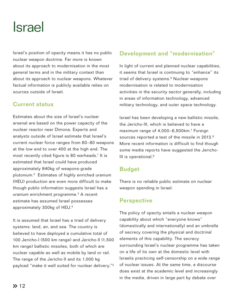# Israel

Israel's position of opacity means it has no public nuclear weapon doctrine. Far more is known about its approach to modernisation in the most general terms and in the military context than about its approach to nuclear weapons. Whatever factual information is publicly available relies on sources outside of Israel.

### Current status

Estimates about the size of Israel's nuclear arsenal are based on the power capacity of the nuclear reactor near Dimona. Experts and analysts outside of Israel estimate that Israel's current nuclear force ranges from 60–80 weapons at the low end to over 400 at the high end. The most recently cited figure is 80 warheads.<sup>1</sup> It is estimated that Israel could have produced approximately 840kg of weapons-grade plutonium.2 Estimates of highly enriched uranium (HEU) production are even more difficult to make though public information suggests Israel has a uranium enrichment programme.3 A recent estimate has assumed Israel possesses approximately 300kg of HEU.4

It is assumed that Israel has a triad of delivery systems: land, air, and sea. The country is believed to have deployed a cumulative total of 100 Jericho-I (500 km range) and Jericho-II (1,500 km range) ballistic missiles, both of which are nuclear capable as well as mobile by land or rail. The range of the Jericho-II and its 1,000 kg payload "make it well suited for nuclear delivery."5

### Development and "modernisation"

In light of current and planned nuclear capabilities, it seems that Israel is continuing to "enhance" its triad of delivery systems.<sup>6</sup> Nuclear weapons modernisation is related to modernisation activities in the security sector generally, including in areas of information technology, advanced military technology, and outer space technology.

Israel has been developing a new ballistic missile, the Jericho-III, which is believed to have a maximum range of 4,000-6,500km.<sup>7</sup> Foreign sources reported a test of the missile in 2013.<sup>8</sup> More recent information is difficult to find though some media reports have suggested the Jericho-III is operational.<sup>9</sup>

### Budget

There is no reliable public estimate on nuclear weapon spending in Israel.

### **Perspective**

The policy of opacity entails a nuclear weapon capability about which "everyone knows" (domestically and internationally) and an umbrella of secrecy covering the physical and doctrinal elements of this capability. The secrecy surrounding Israel's nuclear programme has taken on a life of its own at the domestic level with Israelis practicing self-censorship on a wide range of nuclear issues. At the same time, a discourse does exist at the academic level and increasingly in the media, driven in large part by debate over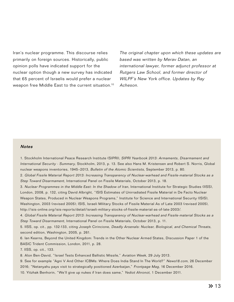Iran's nuclear programme. This discourse relies primarily on foreign sources. Historically, public opinion polls have indicated support for the nuclear option though a new survey has indicated that 65 percent of Israelis would prefer a nuclear weapon free Middle East to the current situation.10

The original chapter upon which these updates are based was written by Merav Datan, an international lawyer, former adjunct professor at Rutgers Law School, and former director of WILPF's New York office. Updates by Ray Acheson.

#### **Notes**

1. Stockholm International Peace Research Institute (SIPRI), SIPRI Yearbook 2013: Armaments, Disarmament and International Security - Summary, Stockholm, 2013, p. 13. See also Hans M. Kristensen and Robert S. Norris, Global nuclear weapons inventories, 1945-2013, Bulletin of the Atomic Scientists, September 2013, p. 80.

2. Global Fissile Material Report 2013: Increasing Transparency of Nuclear-warhead and Fissile-material Stocks as a Step Toward Disarmament, International Panel on Fissile Materials, October 2013, p. 18.

3. Nuclear Programmes in the Middle East: In the Shadow of Iran, International Institute for Strategic Studies (IISS), London, 2008, p. 132, citing David Albright, "ISIS Estimates of Unirradiated Fissile Material in De Facto Nuclear Weapon States, Produced in Nuclear Weapons Programs," Institute for Science and International Security (ISIS), Washington, 2003 (revised 2005); ISIS, Israeli Military Stocks of Fissile Material As of Late 2003 (revised 2005), http://isis-online.org/isis-reports/detail/israeli-military-stocks-of-fissile-material-as-of-late-2003/.

4. Global Fissile Material Report 2013: Increasing Transparency of Nuclear-warhead and Fissile-material Stocks as a Step Toward Disarmament, International Panel on Fissile Materials, October 2013, p. 11.

5. IISS, op. cit., pp. 132-133, citing Joseph Cirincione, Deadly Arsenals: Nuclear, Biological, and Chemical Threats, second edition, Washington, 2005, p. 261.

6. Ian Kearns, Beyond the United Kingdom: Trends in the Other Nuclear Armed States, Discussion Paper 1 of the BASIC Trident Commission, London, 2011, p. 28.

7. IISS, op. cit., 133.

8. Alon Ben-David, "Israel Tests Enhanced Ballistic Missile," Aviation Week, 29 July 2013.

9. See for example "Agni V And Other ICBMs: Where Does India Stand In The World?" News18.com, 26 December 2016; "Netanyahu pays visit to strategically positioned Azerbaijan," Frontpage Mag, 16 December 2016.

10. Yitzhak Benhorin, "We'll give up nukes if Iran does same," Yediot Ahronot, 1 December 2011.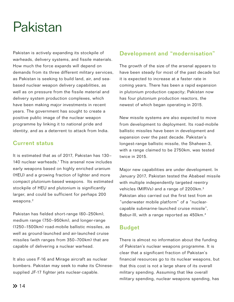# Pakistan

Pakistan is actively expanding its stockpile of warheads, delivery systems, and fissile materials. How much the force expands will depend on demands from its three different military services, as Pakistan is seeking to build land, air, and seabased nuclear weapon delivery capabilities, as well as on pressure from the fissile material and delivery system production complexes, which have been making major investments in recent years. The government has sought to create a positive public image of the nuclear weapon programme by linking it to national pride and identity, and as a deterrent to attack from India.

### Current status

It is estimated that as of 2017, Pakistan has 130– 140 nuclear warheads.<sup>1</sup> This arsenal now includes early weapons based on highly enriched uranium (HEU) and a growing fraction of lighter and more compact plutonium-based weapons. Its estimated stockpile of HEU and plutonium is significantly larger, and could be sufficient for perhaps 200 weapons.<sup>2</sup>

Pakistan has fielded short-range (60–250km), medium range (750–950km), and longer-range (1250–1500km) road-mobile ballistic missiles, as well as ground-launched and air-launched cruise missiles (with ranges from 350–700km) that are capable of delivering a nuclear warhead.

It also uses F-16 and Mirage aircraft as nuclear bombers. Pakistan may seek to make its Chinesesupplied JF-17 fighter jets nuclear-capable.

### Development and "modernisation"

The growth of the size of the arsenal appears to have been steady for most of the past decade but it is expected to increase at a faster rate in coming years. There has been a rapid expansion in plutonium production capacity; Pakistan now has four plutonium production reactors, the newest of which began operating in 2015.

New missile systems are also expected to move from development to deployment. Its road-mobile ballistic missiles have been in development and expansion over the past decade. Pakistan's longest-range ballistic missile, the Shaheen-3, with a range claimed to be 2750km, was tested twice in 2015.

Major new capabilities are under development. In January 2017, Pakistan tested the Ababeel missile with multiple independently targeted reentry vehicles (MIRVs) and a range of 2200km.3 Pakistan also carried out the first test from an "underwater mobile platform" of a "nuclearcapable submarine-launched cruise missile", Babur-III, with a range reported as 450km.4

### Budget

There is almost no information about the funding of Pakistan's nuclear weapons programme. It is clear that a significant fraction of Pakistan's financial resources go to its nuclear weapons, but that this cost is not a large share of its overall military spending. Assuming that like overall military spending, nuclear weapons spending, has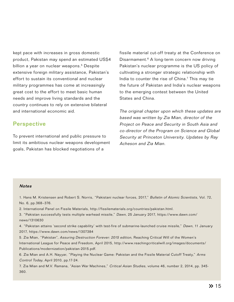kept pace with increases in gross domestic product, Pakistan may spend an estimated US\$4 billion a year on nuclear weapons.<sup>5</sup> Despite extensive foreign military assistance, Pakistan's effort to sustain its conventional and nuclear military programmes has come at increasingly great cost to the effort to meet basic human needs and improve living standards and the country continues to rely on extensive bilateral and international economic aid.

### **Perspective**

To prevent international and public pressure to limit its ambitious nuclear weapons development goals, Pakistan has blocked negotiations of a

fissile material cut-off treaty at the Conference on Disarmament.<sup>6</sup> A long-term concern now driving Pakistan's nuclear programme is the US policy of cultivating a stronger strategic relationship with India to counter the rise of China.<sup>7</sup> This may tie the future of Pakistan and India's nuclear weapons to the emerging contest between the United States and China.

The original chapter upon which these updates are based was written by Zia Mian, director of the Project on Peace and Security in South Asia and co-director of the Program on Science and Global Security at Princeton University. Updates by Ray Acheson and Zia Mian.

#### **Notes**

1. Hans M. Kristensen and Robert S. Norris, "Pakistani nuclear forces, 2017," Bulletin of Atomic Scientists, Vol. 72, No. 6, pp.368–376.

2. International Panel on Fissile Materials, http://fissilematerials.org/countries/pakistan.html.

3. "Pakistan successfully tests multiple warhead missile," Dawn, 25 January 2017, https://www.dawn.com/ news/1310630

4. "Pakistan attains 'second strike capability' with test-fire of submarine-launched cruise missile," Dawn, 11 January 2017, https://www.dawn.com/news/1307384

5. Zia Mian, "Pakistan", Assuring Destruction Forever: 2015 edition, Reaching Critical Will of the Women's International League for Peace and Freedom, April 2015, http://www.reachingcriticalwill.org/images/documents/ Publications/modernization/pakistan-2015.pdf.

6. Zia Mian and A.H. Nayyar, "Playing the Nuclear Game: Pakistan and the Fissile Material Cutoff Treaty," Arms Control Today, April 2010, pp.17-24.

7. Zia Mian and M.V. Ramana, "Asian War Machines," Critical Asian Studies, volume 46, number 2, 2014, pp. 345- 360.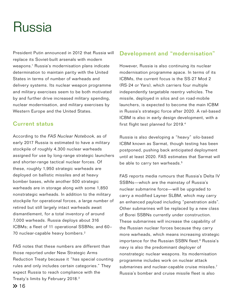### Russia

President Putin announced in 2012 that Russia will replace its Soviet-built arsenals with modern weapons.1 Russia's modernisation plans indicate determination to maintain parity with the United States in terms of number of warheads and delivery systems. Its nuclear weapon programme and military exercises seem to be both motivated by and further drive increased military spending, nuclear modernisation, and military exercises by Western Europe and the United States.

### Current status

According to the FAS Nuclear Notebook, as of early 2017 Russia is estimated to have a military stockpile of roughly 4,300 nuclear warheads assigned for use by long-range strategic launchers and shorter-range tactical nuclear forces. Of these, roughly 1,950 strategic warheads are deployed on ballistic missiles and at heavy bomber bases, while another 500 strategic warheads are in storage along with some 1,850 nonstrategic warheads. In addition to the military stockpile for operational forces, a large number of retired but still largely intact warheads await dismantlement, for a total inventory of around 7,000 warheads. Russia deploys about 316 ICBMs; a fleet of 11 operational SSBNs; and 60– 70 nuclear-capable heavy bombers.<sup>2</sup>

FAS notes that these numbers are different than those reported under New Strategic Arms Reduction Treaty because it "has special counting rules and only includes certain categories." They expect Russia to reach compliance with the Treaty's limits by February 2018.3

### Development and "modernisation"

However, Russia is also continuing its nuclear modernisation programme apace. In terms of its ICBMs, the current focus is the SS-27 Mod 2 (RS-24 or Yars), which carriers four multiple independently targetable reentry vehicles. The missile, deployed in silos and on road-mobile launchers, is expected to become the main ICBM in Russia's strategic force after 2020. A rail-based ICBM is also in early design development, with a first flight test planned for 2019.4

Russia is also developing a "heavy" silo-based ICBM known as Sarmat, though testing has been postponed, pushing back anticipated deployment until at least 2020. FAS estimates that Sarmat will be able to carry ten warheads.<sup>5</sup>

FAS reports media rumours that Russia's Delta IV SSBNs—which are the mainstay of Russia's nuclear submarine force—will be upgraded to carry a modified Layner SLBM, which may carry an enhanced payload including "penetration aids". Other submarines will be replaced by a new class of Borei SSBNs currently under construction. These submarines will increase the capability of the Russian nuclear forces because they carry more warheads, which means increasing strategic importance for the Russian SSBN fleet.<sup>6</sup> Russia's navy is also the predominant deployer of nonstrategic nuclear weapons. Its modernisation programme includes work on nuclear attack submarines and nuclear-capable cruise missiles.<sup>7</sup> Russia's bomber and cruise missile fleet is also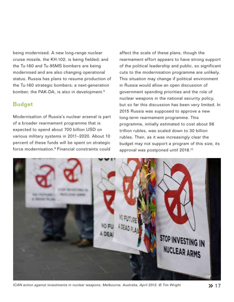being modernised. A new long-range nuclear cruise missile, the KH-102, is being fielded; and the Tu-160 and Tu-95MS bombers are being modernised and are also changing operational status. Russia has plans to resume production of the Tu-160 strategic bombers; a next-generation bomber, the PAK-DA, is also in development.<sup>8</sup>

### Budget

Modernisation of Russia's nuclear arsenal is part of a broader rearmament programme that is expected to spend about 700 billion USD on various military systems in 2011–2020. About 10 percent of these funds will be spent on strategic force modernisation.9 Financial constraints could

affect the scale of these plans, though the rearmament effort appears to have strong support of the political leadership and public, so significant cuts to the modernisation programme are unlikely. This situation may change if political environment in Russia would allow an open discussion of government spending priorities and the role of nuclear weapons in the national security policy, but so far this discussion has been very limited. In 2015 Russia was supposed to approve a new long-term rearmament programme. This programme, initially estimated to cost about 56 trillion rubles, was scaled down to 30 billion rubles. Then, as it was increasingly clear the budget may not support a program of this size, its approval was postponed until 2018.10



ICAN action against investments in nuclear weapons, Melbourne, Australia, April 2012. © Tim Wright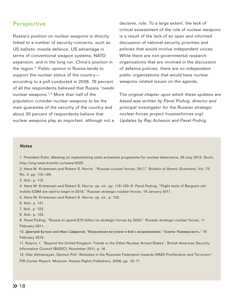#### **Perspective**

Russia's position on nuclear weapons is directly linked to a number of security concerns, such as US ballistic missile defence, US advantage in terms of conventional weapon systems, NATO expansion, and in the long run, China's position in the region.11 Public opinion in Russia tends to support the nuclear status of the country according to a poll conducted in 2006, 76 percent of all the respondents believed that Russia "needs nuclear weapons."12 More than half of the population consider nuclear weapons to be the main guarantee of the security of the country and about 30 percent of respondents believe that nuclear weapons play an important, although not a decisive, role. To a large extent, the lack of critical assessment of the role of nuclear weapons is a result of the lack of an open and informed discussion of national security priorities and policies that would involve independent voices. While there are non-governmental research organisations that are involved in the discussion of defence policies, there are no independent public organisations that would have nuclear weapons related issues on the agenda.

The original chapter upon which these updates are based was written by Pavel Podvig, director and principal investigator for the Russian strategic nuclear forces project (russianforces.org). Updates by Ray Acheson and Pavel Podvig.

#### **Notes**

1. President Putin, Meeting on implementing state armament programme for nuclear deterrence, 26 July 2012, Sochi, http://eng.news.kremlin.ru/news/4220.

2. Hans M. Kristensen and Robert S. Norris, "Russian nuclear forces, 2017," Bulletin of Atomic Scientists, Vol. 73, No. 2, pp. 115–126.

3. Ibid., p. 115.

4. Hans M. Kristensen and Robert S. Norris, op. cit., pp. 119–120; 6. Pavel Podvig, "Flight tests of Barguzin railmobile ICBM are said to begin in 2019," Russian strategic nuclear forces, 19 January 2017.

5. Hans M. Kristensen and Robert S. Norris, op. cit., p. 120.

6. Ibid., p. 121.

7. Ibid., p. 123.

8. Ibid., p. 122.

9. Pavel Podvig, "Russia to spend \$70 billion on strategic forces by 2020," Russian strategic nuclear forces, 11 February 2011.

10. Дмитрий Бутрин and Иван Сафронов, "Вооружения вступили в бой с возражениями," *Газета* "Коммерсантъ," 19 February 2015.

11. Kearns. I, "Beyond the United Kingdom: Trends in the Other Nuclear Armed States", British American Security Information Council (BASIC), November 2011, p. 16.

12. Ildar Akhtamzyan, Opinion Poll "Attitudes in the Russsian Federation towards WMD Proliferation and Terrorism,"

PIR Center Report, Moscow: Human Rights Publishers, 2006, pp. 16–17.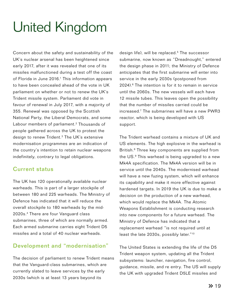# United Kingdom

Concern about the safety and sustainability of the UK's nuclear arsenal has been heightened since early 2017, after it was revealed that one of its missiles malfunctioned during a test off the coast of Florida in June 2016.<sup>1</sup> This information appears to have been concealed ahead of the vote in UK parliament on whether or not to renew the UK's Trident missile system. Parliament did vote in favour of renewal in July 2017, with a majority of 355. Renewal was opposed by the Scottish National Party, the Liberal Democrats, and some Labour members of parliament.<sup>2</sup> Thousands of people gathered across the UK to protest the design to renew Trident.3 The UK's extensive modernisation programmes are an indication of the country's intention to retain nuclear weapons indefinitely, contrary to legal obligations.

### Current status

The UK has 120 operationally available nuclear warheads. This is part of a larger stockpile of between 180 and 225 warheads. The Ministry of Defence has indicated that it will reduce the overall stockpile to 180 warheads by the mid-2020s.4 There are four Vanguard class submarines, three of which are normally armed. Each armed submarine carries eight Trident D5 missiles and a total of 40 nuclear warheads.

### Development and "modernisation"

The decision of parliament to renew Trident means that the Vanguard-class submarines, which are currently slated to leave services by the early 2030s (which is at least 13 years beyond its

design life), will be replaced.<sup>5</sup> The successor submarine, now known as "Dreadnought," entered the design phase in 2011; the Ministry of Defence anticipates that the first submarine will enter into service in the early 2030s (postponed from  $2024$ ).<sup>6</sup> The intention is for it to remain in service until the 2060s. The new vessels will each have 12 missile tubes. This leaves open the possibility that the number of missiles carried could be increased.7 The submarines will have a new PWR3 reactor, which is being developed with US support.

The Trident warhead contains a mixture of UK and US elements. The high explosive in the warhead is British.<sup>8</sup> Three key components are supplied from the US.<sup>9</sup> This warhead is being upgraded to a new Mk4A specification. The Mk4A version will be in service until the 2040s. The modernised warhead will have a new fuzing system, which will enhance its capability and make it more effective against hardened targets. In 2019 the UK is due to make a decision on the production of a new warhead, which would replace the Mk4A. The Atomic Weapons Establishment is conducting research into new components for a future warhead. The Ministry of Defence has indicated that a replacement warhead "is not required until at least the late 2030s, possibly later."10

The United States is extending the life of the D5 Trident weapon system, updating all the Trident subsystems: launcher, navigation, fire control, guidance, missile, and re entry. The US will supply the UK with upgraded Trident D5LE missiles and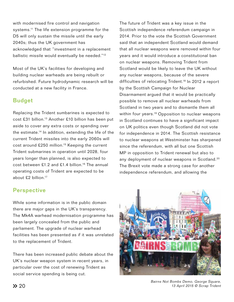with modernised fire control and navigation systems.<sup>11</sup> The life extension programme for the D5 will only sustain the missile until the early 2040s; thus the UK government has acknowledged that "investment in a replacement ballistic missile would eventually be needed."<sup>12</sup>

Most of the UK's facilities for developing and building nuclear warheads are being rebuilt or refurbished. Future hydrodynamic research will be conducted at a new facility in France.

### Budget

Replacing the Trident sumbarines is expected to cost £31 billion.<sup>13</sup> Another £10 billion has been put aside to cover any extra costs or spending over the estimate.14 In addition, extending the life of the current Trident missiles into the early 2060s will cost around £250 million.15 Keeping the current Trident submarines in operation until 2028, four years longer than planned, is also expected to cost between £1.2 and £1.4 billion.<sup>16</sup> The annual operating costs of Trident are expected to be about  $£2$  billion<sup>17</sup>

### **Perspective**

While some information is in the public domain there are major gaps in the UK's transparency. The Mk4A warhead modernisation programme has been largely concealed from the public and parliament. The upgrade of nuclear warhead facilities has been presented as if it was unrelated to the replacement of Trident.

There has been increased public debate about the UK's nuclear weapon system in recent years, in particular over the cost of renewing Trident as social service spending is being cut.

The future of Trident was a key issue in the Scottish independence referendum campaign in 2014. Prior to the vote the Scottish Government said that an independent Scotland would demand that all nuclear weapons were removed within four years and it would introduce a constitutional ban on nuclear weapons. Removing Trident from Scotland would be likely to leave the UK without any nuclear weapons, because of the severe difficulties of relocating Trident.<sup>18</sup> In 2012 a report by the Scottish Campaign for Nuclear Disarmament argued that it would be practically possible to remove all nuclear warheads from Scotland in two years and to dismantle them all within four years.<sup>19</sup> Opposition to nuclear weapons in Scotland continues to have a significant impact on UK politics even though Scotland did not vote for independence in 2014. The Scottish resistance to nuclear weapons at Westminster has sharpened since the referendum, with all but one Scottish MP in opposition to Trident renewal but also to any deployment of nuclear weapons in Scotland.<sup>20</sup> The Brexit vote made a strong case for another independence referendum, and allowing the



Bairns Not Bombs Demo, George Square, 13 April 2015 © Scrap Trident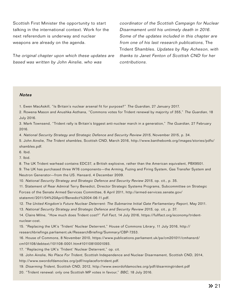Scottish First Minister the opportunity to start talking in the international context. Work for the next referendum is underway and nuclear weapons are already on the agenda.

The original chapter upon which these updates are based was written by John Ainslie, who was

coordinator of the Scottish Campaign for Nuclear Disarmament until his untimely death in 2016. Some of the updates included in this chapter are from one of his last research publications, The Trident Shambles. Updates by Ray Acheson, with thanks to Janet Fenton of Scottish CND for her contributions.

#### **Notes**

- 1. Ewen MacAskill, "Is Britain's nuclear arsenal fit for purpose?" The Guardian, 27 January 2017.
- 2. Rowena Mason and Anushka Asthana, "Commons votes for Trident renewal by majority of 355," The Guardian, 18 July 2016.

3. Mark Townsend, "Trident rally is Britain's biggest anti-nuclear march in a generation," The Guardian, 27 February 2016.

4. National Security Strategy and Strategic Defence and Security Review 2015, November 2015, p. 34.

5. John Ainslie, The Trident shambles, Scottish CND, March 2016, http://www.banthebomb.org/images/stories/pdfs/ shambles.pdf.

6. Ibid.

7. Ibid.

8. The UK Trident warhead contains EDC37, a British explosive, rather than the American equivalent, PBX9501.

9. The UK has purchased three W76 components—the Arming, Fuzing and Firing System, Gas Transfer System and Neutron Generator—from the US. Hansard, 4 December 2009.

10. National Security Strategy and Strategic Defence and Security Review 2015, op. cit., p. 35.

11. Statement of Rear Admiral Terry Benedict, Director Strategic Systems Programs, Subcommittee on Strategic Forces of the Senate Armed Services Committee, 6 April 2011, http://armed-services.senate.gov/ statemnt/2011/04%20April/Benedict%2004-06-11.pdf.

12. The United Kingdom's Future Nuclear Deterrent: The Submarine Initial Gate Parliamentary Report, May 2011.

13. National Security Strategy and Strategic Defence and Security Review 2015, op. cit., p. 37.

14. Claire Milne, "How much does Trident cost?" Full Fact, 14 July 2016, https://fullfact.org/economy/tridentnuclear-cost.

15. "Replacing the UK's 'Trident' Nuclear Deterrent," House of Commons Library, 11 July 2016, http:// researchbriefings.parliament.uk/ResearchBriefing/Summary/CBP-7353.

16. House of Commons, 8 November 2010, https://www.publications.parliament.uk/pa/cm201011/cmhansrd/ cm101108/debtext/101108-0001.htm#10110810001093.

17. "Replacing the UK's 'Trident' Nuclear Deterrent," op. cit.

18. John Ainslie, No Place For Trident, Scottish Independence and Nuclear Disarmament, Scottish CND, 2014, http://www.swordofdamocles.org/pdf/noplacefortrident.pdf.

19. Disarming Trident, Scottish CND, 2012, http://www.swordofdamocles.org/pdf/disarmingtrident.pdf

20. "Trident renewal: only one Scottish MP votes in favour," BBC, 18 July 2016.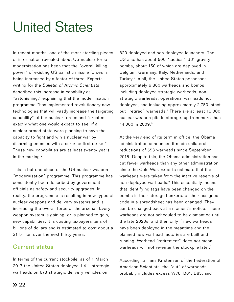# United States

In recent months, one of the most startling pieces of information revealed about US nuclear force modernisation has been that the "overall killing power" of existing US ballistic missile forces is being increased by a factor of three. Experts writing for the Bulletin of Atomic Scientists described this increase in capability as "astonishing," explaining that the modernisation programme "has implemented revolutionary new technologies that will vastly increase the targeting capability" of the nuclear forces and "creates exactly what one would expect to see, if a nuclear-armed state were planning to have the capacity to fight and win a nuclear war by disarming enemies with a surprise first strike."1 These new capabilities are at least twenty years in the making.<sup>2</sup>

This is but one piece of the US nuclear weapon "modernisation" programme. This programme has consistently been described by government officials as safety and security upgrades. In reality, the programme is resulting in new types of nuclear weapons and delivery systems and is increasing the overall force of the arsenal. Every weapon system is gaining, or is planned to gain, new capabilities. It is costing taxpayers tens of billions of dollars and is estimated to cost about a \$1 trillion over the next thirty years.

### Current status

In terms of the current stockpile, as of 1 March 2017 the United States deployed 1,411 strategic warheads on 673 strategic delivery vehicles on

820 deployed and non-deployed launchers. The US also has about 500 "tactical" B61 gravity bombs, about 150 of which are deployed in Belgium, Germany, Italy, Netherlands, and Turkey.3 In all, the United States possesses approximately 6,800 warheads and bombs including deployed strategic warheads, nonstrategic warheads, operational warheads not deployed, and including approximately 2,750 intact but "retired" warheads.<sup>4</sup> There are at least 16,000 nuclear weapon pits in storage, up from more than 14,000 in 2009.5

At the very end of its term in office, the Obama administration announced it made unilateral reductions of 553 warheads since September 2015. Despite this, the Obama administration has cut fewer warheads than any other administration since the Cold War. Experts estimate that the warheads were taken from the inactive reserve of non-deployed warheads.<sup>6</sup> This essentially means that identifying tags have been changed on the bombs in their storage bunkers, or their assigned code in a spreadsheet has been changed. They can be changed back at a moment's notice. These warheads are not scheduled to be dismantled until the late 2020s, and then only if new warheads have been deployed in the meantime and the planned new warhead factories are built and running. Warhead "retirement" does not mean warheads will not re-enter the stockpile later.<sup>7</sup>

According to Hans Kristensen of the Federation of American Scientists, the "cut" of warheads probably includes excess W76, B61, B83, and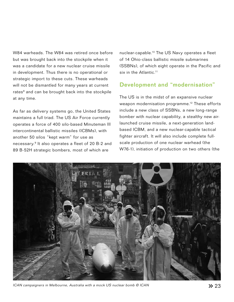W84 warheads. The W84 was retired once before but was brought back into the stockpile when it was a candidate for a new nuclear cruise missile in development. Thus there is no operational or strategic import to these cuts. These warheads will not be dismantled for many years at current rates<sup>8</sup> and can be brought back into the stockpile at any time.

As far as delivery systems go, the United States maintains a full triad. The US Air Force currently operates a force of 400 silo-based Minuteman III intercontinental ballistic missiles (ICBMs), with another 50 silos "kept warm" for use as necessary.9 It also operates a fleet of 20 B-2 and 89 B-52H strategic bombers, most of which are

nuclear-capable.10 The US Navy operates a fleet of 14 Ohio-class ballistic missile submarines (SSBNs), of which eight operate in the Pacific and six in the Atlantic.<sup>11</sup>

### Development and "modernisation"

The US is in the midst of an expansive nuclear weapon modernisation programme.<sup>12</sup> These efforts include a new class of SSBNs, a new long-range bomber with nuclear capability, a stealthy new airlaunched cruise missile, a next-generation landbased ICBM, and a new nuclear-capable tactical fighter aircraft. It will also include complete fullscale production of one nuclear warhead (the W76-1), initiation of production on two others (the



ICAN campaigners in Melbourne, Australia with a mock US nuclear bomb © ICAN 23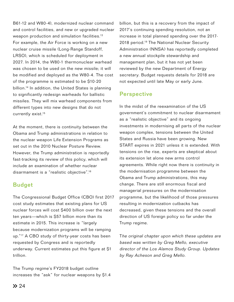B61-12 and W80-4), modernized nuclear command and control facilities, and new or upgraded nuclear weapon production and simulation facilities.<sup>13</sup> For example, the Air Force is working on a new nuclear cruise missile (Long-Range Standoff, LRSO), which is scheduled for deployment in 2027. In 2014, the W80-1 thermonuclear warhead was chosen to be used on the new missile; it will be modified and deployed as the W80-4. The cost of the programme is estimated to be \$10-20 billion.14 In addition, the United States is planning to significantly redesign warheads for ballistic missiles. They will mix warhead components from different types into new designs that do not currently exist.<sup>15</sup>

At the moment, there is continuity between the Obama and Trump administrations in relation to the nuclear weapon Life Extension Programs as set out in the 2010 Nuclear Posture Review. However, the Trump administration is reportedly fast-tracking its review of this policy, which will include an examination of whether nuclear disarmament is a "realistic objective".16

### Budget

The Congressional Budget Office (CBO) first 2017 cost study estimates that existing plans for US nuclear forces will cost \$400 billion over the next ten years—which is \$57 billion more than its estimate in 2015. This increase is "largely because modernization programs will be ramping up."<sup>17</sup> A CBO study of thirty-year costs has been requested by Congress and is reportedly underway. Current estimates put this figure at \$1 trillion.

The Trump regime's FY2018 budget outline increases the "ask" for nuclear weapons by \$1.4 billion, but this is a recovery from the impact of 2017's continuing spending resolution, not an increase in total planned spending over the 2017- 2018 period.<sup>19</sup> The National Nuclear Security Administration (NNSA) has reportedly completed a new annual stockpile stewardship and management plan, but it has not yet been reviewed by the new Department of Energy secretary. Budget requests details for 2018 are not expected until late May or early June.

### **Perspective**

In the midst of the reexamination of the US government's commitment to nuclear disarmament as a "realistic objective" and its ongoing investments in modernising all parts of the nuclear weapon complex, tensions between the United States and Russia have been growing. New START expires in 2021 unless it is extended. With tensions on the rise, experts are skeptical about its extension let alone new arms control agreements. While right now there is continuity in the modernisation programme between the Obama and Trump administrations, this may change. There are still enormous fiscal and managerial pressures on the modernisation programme, but the likelihood of those pressures resulting in modernization cutbacks has decreased, given these tensions and the overall direction of US foreign policy so far under the Trump regime.

The original chapter upon which these updates are based was written by Greg Mello, executive director of the Los Alamos Study Group. Updates by Ray Acheson and Greg Mello.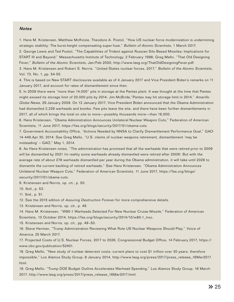#### **Notes**

1. Hans M. Kristensen, Matthew McKinzie, Theodore A. Postol, "How US nuclear force modernization is undermining strategic stability: The burst-height compensating super-fuze," Bulletin of Atomic Scientists, 1 March 2017.

2. George Lewis and Ted Postol, "The Capabilities of Trident against Russian Silo-Based Missiles: Implications for START III and Beyond," Massachusetts Institute of Technology, 2 February 1998; Greg Mello, "That Old Designing Fever," Bulletin of the Atomic Scientists, Jan/Feb 2000, http://www.lasg.org/ThatOldDesigningFever.pdf. 3. Hans M. Kristensen and Robert S. Norris, "United States nuclear forces, 2017," Bulletin of the Atomic Scientists,

Vol. 73, No. 1, pp. 54-55.

4. This is based on New START disclosures available as of 4 January 2017 and Vice President Biden's remarks on 11 January 2017, and account for rates of dismantlement since then.

5. In 2009 there were "more than 14,000" pits in storage at the Pantex plant. It was thought at the time that Pantex might exceed its storage limit of 20,000 pits by 2014. Jim McBride,"Pantex may hit storage limit in 2014," Amarillo Globe-News, 29 January 2009. On 12 January 2017, Vice President Biden announced that the Obama Administration had dismantled 2,226 warheads and bombs. Few pits leave the site, and there have been further dismantlements in 2017, all of which brings the total on site to more—possibly thousands more—than 16,000.

6. Hans Kristensen, "Obama Administration Announces Unilateral Nuclear Weapon Cuts," Federation of American Scientists, 11 June 2017, https://fas.org/blogs/security/2017/01/obama-cuts.

7. Government Accountability Office, "Actions Needed by NNSA to Clarify Dismantlement Performance Goal," GAO-14-449,Apr 30, 2014. See Greg Mello, "U.S. claims of nuclear weapons retirement, dismantlement 'may be misleading' – GAO," May 1, 2014.

8. As Hans Kristensen notes, "The administration has promised that all the warheads that were retired prior to 2009 will be dismantled by 2021 (in reality some warheads already dismantled were retired after 2009). But with the average rate of about 278 warheads dismantled per year during the Obama administration, it will take until 2026 to dismantle the current backlog of retired warheads." See Hans Kristensen, "Obama Administration Announces Unilateral Nuclear Weapon Cuts," Federation of American Scientists, 11 June 2017, https://fas.org/blogs/ security/2017/01/obama-cuts.

9. Kristensen and Norris, op. cit., p. 50.

10. Ibid., p. 53.

11. Ibid., p. 51.

12. See the 2015 edition of Assuring Destruction Forever for more comprehensive details.

13. Kristensen and Norris, op. cit., p. 49.

14. Hans M. Kristensen, "W80-1 Warheads Selected For New Nuclear Cruise Missile," Federation of American Scientists, 10 October 2014, https://fas.org/blogs/security/2014/10/w80-1\_lrso.

15. Kristensen and Norris, op. cit., pp. 49–50.

16. Steve Herman, "Trump Administration Reviewing What Role US Nuclear Weapons Should Play," Voice of America, 25 March 2017.

17. Projected Costs of U.S. Nuclear Forces, 2017 to 2026, Congressional Budget Office, 14 February 2017, https:// www.cbo.gov/publication/52401.

18. Greg Mello, "New study of nuclear deterrent costs: current plans to cost \$1 trillion over 30 years, therefore impossible," Los Alamos Study Group, 8 January 2014, http://www.lasg.org/press/2017/press\_release\_16Mar2017. html.

19. Greg Mello, "Trump DOE Budget Outline Accelerates Warhead Spending," Los Alamos Study Group, 16 March 2017, http://www.lasg.org/press/2017/press\_release\_16Mar2017.html.